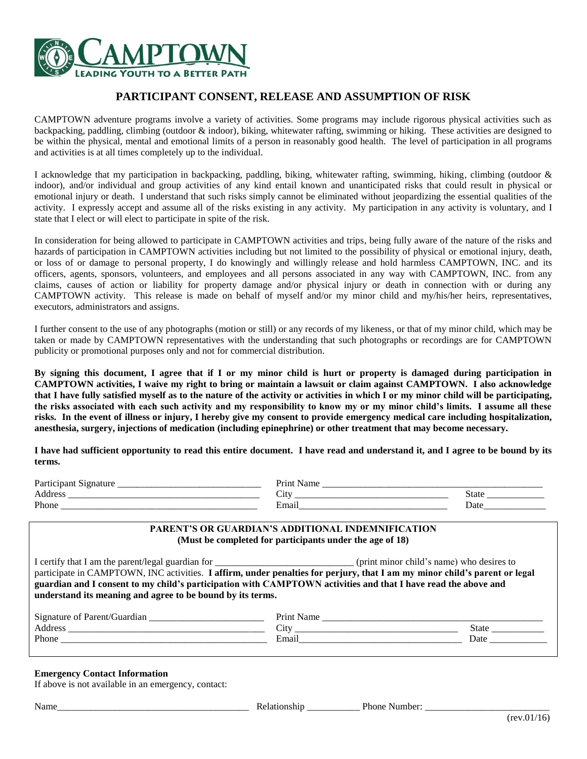

## **PARTICIPANT CONSENT, RELEASE AND ASSUMPTION OF RISK**

CAMPTOWN adventure programs involve a variety of activities. Some programs may include rigorous physical activities such as backpacking, paddling, climbing (outdoor & indoor), biking, whitewater rafting, swimming or hiking. These activities are designed to be within the physical, mental and emotional limits of a person in reasonably good health. The level of participation in all programs and activities is at all times completely up to the individual.

I acknowledge that my participation in backpacking, paddling, biking, whitewater rafting, swimming, hiking, climbing (outdoor & indoor), and/or individual and group activities of any kind entail known and unanticipated risks that could result in physical or emotional injury or death. I understand that such risks simply cannot be eliminated without jeopardizing the essential qualities of the activity. I expressly accept and assume all of the risks existing in any activity. My participation in any activity is voluntary, and I state that I elect or will elect to participate in spite of the risk.

In consideration for being allowed to participate in CAMPTOWN activities and trips, being fully aware of the nature of the risks and hazards of participation in CAMPTOWN activities including but not limited to the possibility of physical or emotional injury, death, or loss of or damage to personal property, I do knowingly and willingly release and hold harmless CAMPTOWN, INC. and its officers, agents, sponsors, volunteers, and employees and all persons associated in any way with CAMPTOWN, INC. from any claims, causes of action or liability for property damage and/or physical injury or death in connection with or during any CAMPTOWN activity. This release is made on behalf of myself and/or my minor child and my/his/her heirs, representatives, executors, administrators and assigns.

I further consent to the use of any photographs (motion or still) or any records of my likeness, or that of my minor child, which may be taken or made by CAMPTOWN representatives with the understanding that such photographs or recordings are for CAMPTOWN publicity or promotional purposes only and not for commercial distribution.

**By signing this document, I agree that if I or my minor child is hurt or property is damaged during participation in CAMPTOWN activities, I waive my right to bring or maintain a lawsuit or claim against CAMPTOWN. I also acknowledge that I have fully satisfied myself as to the nature of the activity or activities in which I or my minor child will be participating, the risks associated with each such activity and my responsibility to know my or my minor child's limits. I assume all these risks. In the event of illness or injury, I hereby give my consent to provide emergency medical care including hospitalization, anesthesia, surgery, injections of medication (including epinephrine) or other treatment that may become necessary.**

**I have had sufficient opportunity to read this entire document. I have read and understand it, and I agree to be bound by its terms.**

| $\mathbf{D}_{\alpha r t}$ |                           |       |
|---------------------------|---------------------------|-------|
| chase.<br>∸<br>_____      | $\mathcal{L}1\mathcal{U}$ | State |
| Phone                     | Emai                      | Date  |

### **PARENT'S OR GUARDIAN'S ADDITIONAL INDEMNIFICATION (Must be completed for participants under the age of 18)**

I certify that I am the parent/legal guardian for \_\_\_\_\_\_\_\_\_\_\_\_\_\_\_\_\_\_\_\_\_\_\_\_\_\_\_\_\_ (print minor child's name) who desires to participate in CAMPTOWN, INC activities. **I affirm, under penalties for perjury, that I am my minor child's parent or legal guardian and I consent to my child's participation with CAMPTOWN activities and that I have read the above and understand its meaning and agree to be bound by its terms.**

| Signat<br>Guardiar<br>ture<br>. Parent/<br>ി | Print⊹<br>____                   |              |
|----------------------------------------------|----------------------------------|--------------|
| Address                                      | $\mathcal{L}1\mathcal{U}$        | <b>State</b> |
| Phone                                        | $\overline{\phantom{a}}$<br>Emai | Date         |

#### **Emergency Contact Information**

If above is not available in an emergency, contact:

Name The Contract of the Selationship The Number:  $\blacksquare$  Phone Number:  $\blacksquare$